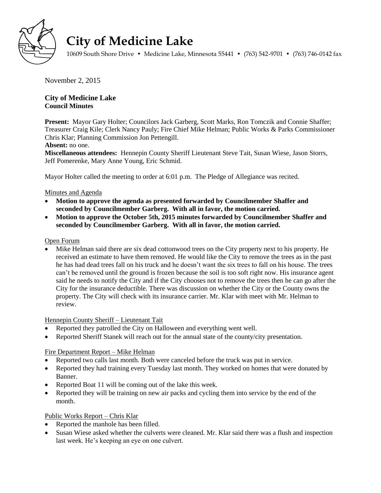

# **City of Medicine Lake**

10609 South Shore Drive • Medicine Lake, Minnesota 55441 • (763) 542-9701 • (763) 746-0142 fax

November 2, 2015

# **City of Medicine Lake Council Minutes**

**Present:** Mayor Gary Holter; Councilors Jack Garberg, Scott Marks, Ron Tomczik and Connie Shaffer; Treasurer Craig Kile; Clerk Nancy Pauly; Fire Chief Mike Helman; Public Works & Parks Commissioner Chris Klar; Planning Commission Jon Pettengill.

#### **Absent:** no one.

**Miscellaneous attendees:** Hennepin County Sheriff Lieutenant Steve Tait, Susan Wiese, Jason Storrs, Jeff Pomerenke, Mary Anne Young, Eric Schmid.

Mayor Holter called the meeting to order at 6:01 p.m. The Pledge of Allegiance was recited.

# Minutes and Agenda

- **Motion to approve the agenda as presented forwarded by Councilmember Shaffer and seconded by Councilmember Garberg. With all in favor, the motion carried.**
- **Motion to approve the October 5th, 2015 minutes forwarded by Councilmember Shaffer and seconded by Councilmember Garberg. With all in favor, the motion carried.**

#### Open Forum

 Mike Helman said there are six dead cottonwood trees on the City property next to his property. He received an estimate to have them removed. He would like the City to remove the trees as in the past he has had dead trees fall on his truck and he doesn't want the six trees to fall on his house. The trees can't be removed until the ground is frozen because the soil is too soft right now. His insurance agent said he needs to notify the City and if the City chooses not to remove the trees then he can go after the City for the insurance deductible. There was discussion on whether the City or the County owns the property. The City will check with its insurance carrier. Mr. Klar with meet with Mr. Helman to review.

# Hennepin County Sheriff – Lieutenant Tait

- Reported they patrolled the City on Halloween and everything went well.
- Reported Sheriff Stanek will reach out for the annual state of the county/city presentation.

# Fire Department Report – Mike Helman

- Reported two calls last month. Both were canceled before the truck was put in service.
- Reported they had training every Tuesday last month. They worked on homes that were donated by Banner.
- Reported Boat 11 will be coming out of the lake this week.
- Reported they will be training on new air packs and cycling them into service by the end of the month.

# Public Works Report – Chris Klar

- Reported the manhole has been filled.
- Susan Wiese asked whether the culverts were cleaned. Mr. Klar said there was a flush and inspection last week. He's keeping an eye on one culvert.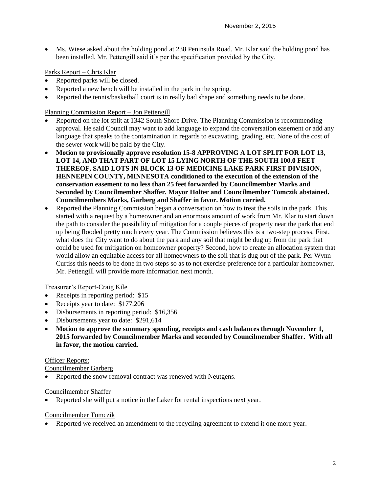Ms. Wiese asked about the holding pond at 238 Peninsula Road. Mr. Klar said the holding pond has been installed. Mr. Pettengill said it's per the specification provided by the City.

#### Parks Report – Chris Klar

- Reported parks will be closed.
- Reported a new bench will be installed in the park in the spring.
- Reported the tennis/basketball court is in really bad shape and something needs to be done.

Planning Commission Report – Jon Pettengill

- Reported on the lot split at 1342 South Shore Drive. The Planning Commission is recommending approval. He said Council may want to add language to expand the conversation easement or add any language that speaks to the contamination in regards to excavating, grading, etc. None of the cost of the sewer work will be paid by the City.
- **Motion to provisionally approve resolution 15-8 APPROVING A LOT SPLIT FOR LOT 13, LOT 14, AND THAT PART OF LOT 15 LYING NORTH OF THE SOUTH 100.0 FEET THEREOF, SAID LOTS IN BLOCK 13 OF MEDICINE LAKE PARK FIRST DIVISION, HENNEPIN COUNTY, MINNESOTA conditioned to the execution of the extension of the conservation easement to no less than 25 feet forwarded by Councilmember Marks and Seconded by Councilmember Shaffer. Mayor Holter and Councilmember Tomczik abstained. Councilmembers Marks, Garberg and Shaffer in favor. Motion carried.**
- Reported the Planning Commission began a conversation on how to treat the soils in the park. This started with a request by a homeowner and an enormous amount of work from Mr. Klar to start down the path to consider the possibility of mitigation for a couple pieces of property near the park that end up being flooded pretty much every year. The Commission believes this is a two-step process. First, what does the City want to do about the park and any soil that might be dug up from the park that could be used for mitigation on homeowner property? Second, how to create an allocation system that would allow an equitable access for all homeowners to the soil that is dug out of the park. Per Wynn Curtiss this needs to be done in two steps so as to not exercise preference for a particular homeowner. Mr. Pettengill will provide more information next month.

Treasurer's Report-Craig Kile

- Receipts in reporting period: \$15
- Receipts year to date: \$177,206
- Disbursements in reporting period: \$16,356
- Disbursements year to date: \$291,614
- **Motion to approve the summary spending, receipts and cash balances through November 1, 2015 forwarded by Councilmember Marks and seconded by Councilmember Shaffer. With all in favor, the motion carried.**

#### Officer Reports:

Councilmember Garberg

Reported the snow removal contract was renewed with Neutgens.

#### Councilmember Shaffer

Reported she will put a notice in the Laker for rental inspections next year.

#### Councilmember Tomczik

Reported we received an amendment to the recycling agreement to extend it one more year.